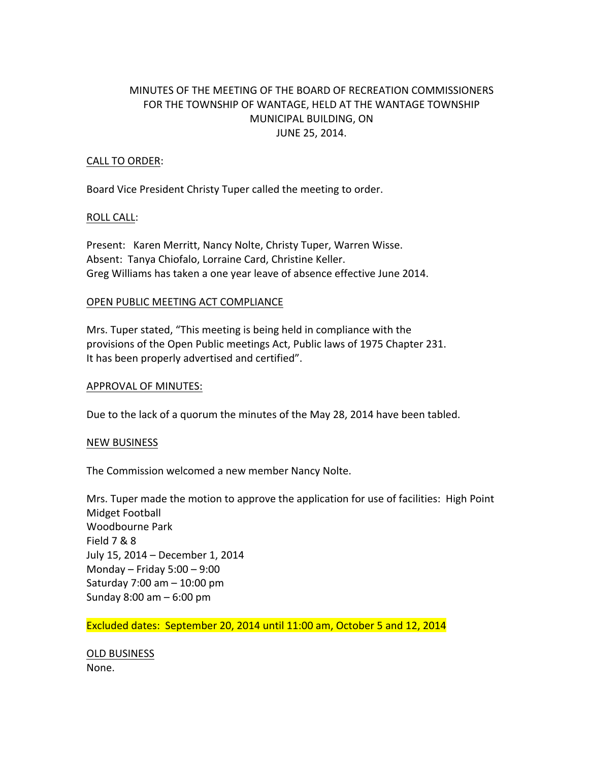# MINUTES OF THE MEETING OF THE BOARD OF RECREATION COMMISSIONERS FOR THE TOWNSHIP OF WANTAGE, HELD AT THE WANTAGE TOWNSHIP MUNICIPAL BUILDING, ON JUNE 25, 2014.

## CALL TO ORDER:

Board Vice President Christy Tuper called the meeting to order.

#### ROLL CALL:

Present: Karen Merritt, Nancy Nolte, Christy Tuper, Warren Wisse. Absent: Tanya Chiofalo, Lorraine Card, Christine Keller. Greg Williams has taken a one year leave of absence effective June 2014.

## OPEN PUBLIC MEETING ACT COMPLIANCE

Mrs. Tuper stated, "This meeting is being held in compliance with the provisions of the Open Public meetings Act, Public laws of 1975 Chapter 231. It has been properly advertised and certified".

#### **APPROVAL OF MINUTES:**

Due to the lack of a quorum the minutes of the May 28, 2014 have been tabled.

#### NEW BUSINESS

The Commission welcomed a new member Nancy Nolte.

Mrs. Tuper made the motion to approve the application for use of facilities: High Point Midget Football Woodbourne Park Field 7 & 8 July 15, 2014 - December 1, 2014 Monday – Friday  $5:00 - 9:00$ Saturday  $7:00$  am  $- 10:00$  pm Sunday  $8:00$  am  $-6:00$  pm

Excluded dates: September 20, 2014 until 11:00 am, October 5 and 12, 2014

OLD BUSINESS None.